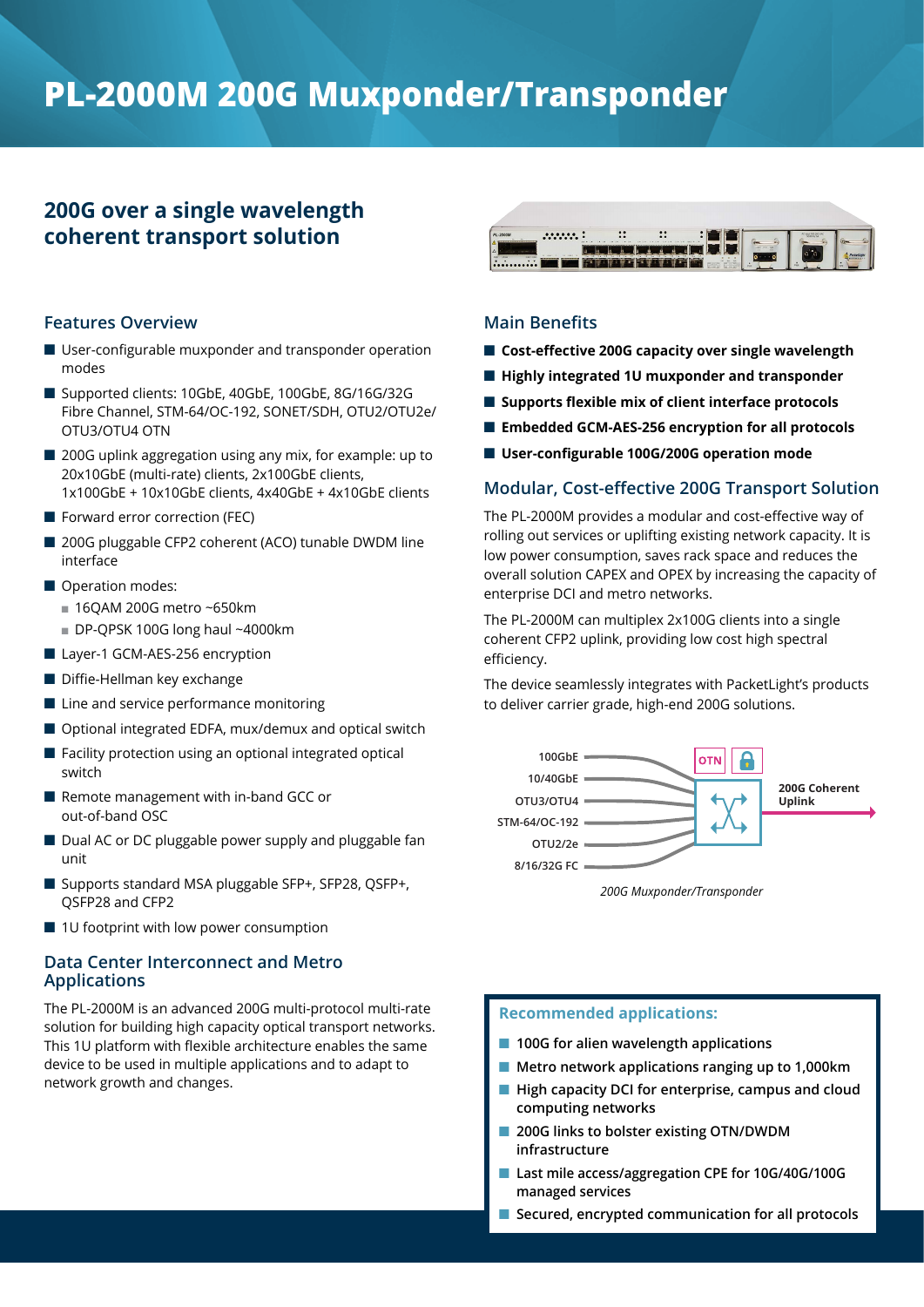# **PL-2000M 200G Muxponder/Transponder**

# **200G over a single wavelength coherent transport solution**

#### **Features Overview**

- $\blacksquare$  User-configurable muxponder and transponder operation modes
- Supported clients: 10GbE, 40GbE, 100GbE, 8G/16G/32G Fibre Channel, STM-64/OC-192, SONET/SDH, OTU2/OTU2e/ OTU3/OTU4 OTN
- 200G uplink aggregation using any mix, for example: up to 20x10GbE (multi-rate) clients, 2x100GbE clients, 1x100GbE + 10x10GbE clients, 4x40GbE + 4x10GbE clients
- $\blacksquare$  Forward error correction (FEC)
- 200G pluggable CFP2 coherent (ACO) tunable DWDM line interface
- Operation modes:
	- $\blacksquare$  16QAM 200G metro ~650km
	- $\blacksquare$  DP-QPSK 100G long haul ~4000km
- Layer-1 GCM-AES-256 encryption
- $\blacksquare$  Diffie-Hellman key exchange
- $\blacksquare$  Line and service performance monitoring
- Optional integrated EDFA, mux/demux and optical switch
- $\blacksquare$  Facility protection using an optional integrated optical switch
- Remote management with in-band GCC or out-of-band OSC
- Dual AC or DC pluggable power supply and pluggable fan unit
- Supports standard MSA pluggable SFP+, SFP28, QSFP+, QSFP28 and CFP2
- $\blacksquare$  1U footprint with low power consumption

### **Data Center Interconnect and Metro Applications**

The PL-2000M is an advanced 200G multi-protocol multi-rate solution for building high capacity optical transport networks. This 1U platform with flexible architecture enables the same device to be used in multiple applications and to adapt to network growth and changes.



### **Main Benefits**

- Cost-effective 200G capacity over single wavelength
- Highly integrated 1U muxponder and transponder
- Supports flexible mix of client interface protocols
- Embedded GCM-AES-256 encryption for all protocols
- User-configurable 100G/200G operation mode

## **Modular, Cost-effective 200G Transport Solution**

The PL-2000M provides a modular and cost-effective way of rolling out services or uplifting existing network capacity. It is low power consumption, saves rack space and reduces the overall solution CAPEX and OPEX by increasing the capacity of enterprise DCI and metro networks.

The PL-2000M can multiplex 2x100G clients into a single coherent CFP2 uplink, providing low cost high spectral efficiency.

The device seamlessly integrates with PacketLight's products to deliver carrier grade, high-end 200G solutions.



*200G Muxponder/Transponder*

#### **Recommended applications:**

- 100G for alien wavelength applications
- Metro network applications ranging up to 1,000km
- High capacity DCI for enterprise, campus and cloud **computing networks**
- 200G links to bolster existing OTN/DWDM **infrastructure**
- Last mile access/aggregation CPE for 10G/40G/100G **managed services**
- Secured, encrypted communication for all protocols